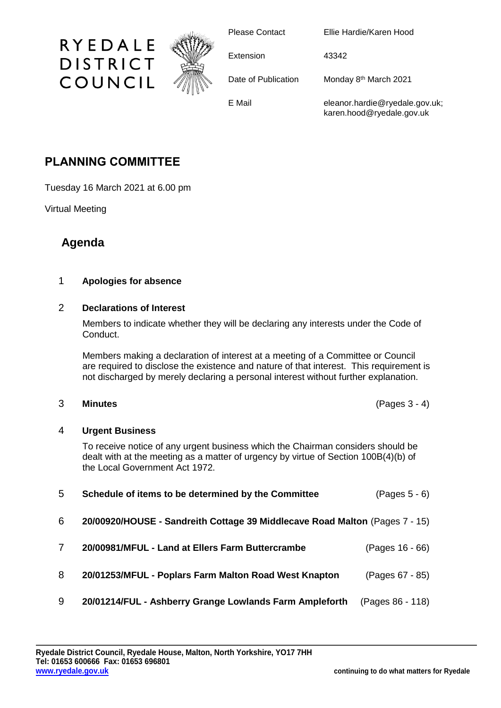

Please Contact Ellie Hardie/Karen Hood

Extension 43342

Date of Publication Monday 8<sup>th</sup> March 2021

E Mail eleanor.hardie@ryedale.gov.uk;

karen.hood@ryedale.gov.uk

# **PLANNING COMMITTEE**

RYEDALE

**DISTRICT** 

COUNCIL

Tuesday 16 March 2021 at 6.00 pm

Virtual Meeting

## **Agenda**

### 1 **Apologies for absence**

#### 2 **Declarations of Interest**

Members to indicate whether they will be declaring any interests under the Code of Conduct.

Members making a declaration of interest at a meeting of a Committee or Council are required to disclose the existence and nature of that interest. This requirement is not discharged by merely declaring a personal interest without further explanation.

#### 3 **Minutes** (Pages 3 - 4)

#### 4 **Urgent Business**

To receive notice of any urgent business which the Chairman considers should be dealt with at the meeting as a matter of urgency by virtue of Section 100B(4)(b) of the Local Government Act 1972.

| 5 | Schedule of items to be determined by the Committee                         | $(Pages 5 - 6)$  |
|---|-----------------------------------------------------------------------------|------------------|
| 6 | 20/00920/HOUSE - Sandreith Cottage 39 Middlecave Road Malton (Pages 7 - 15) |                  |
| 7 | 20/00981/MFUL - Land at Ellers Farm Buttercrambe                            | (Pages 16 - 66)  |
| 8 | 20/01253/MFUL - Poplars Farm Malton Road West Knapton                       | (Pages 67 - 85)  |
| 9 | 20/01214/FUL - Ashberry Grange Lowlands Farm Ampleforth                     | (Pages 86 - 118) |